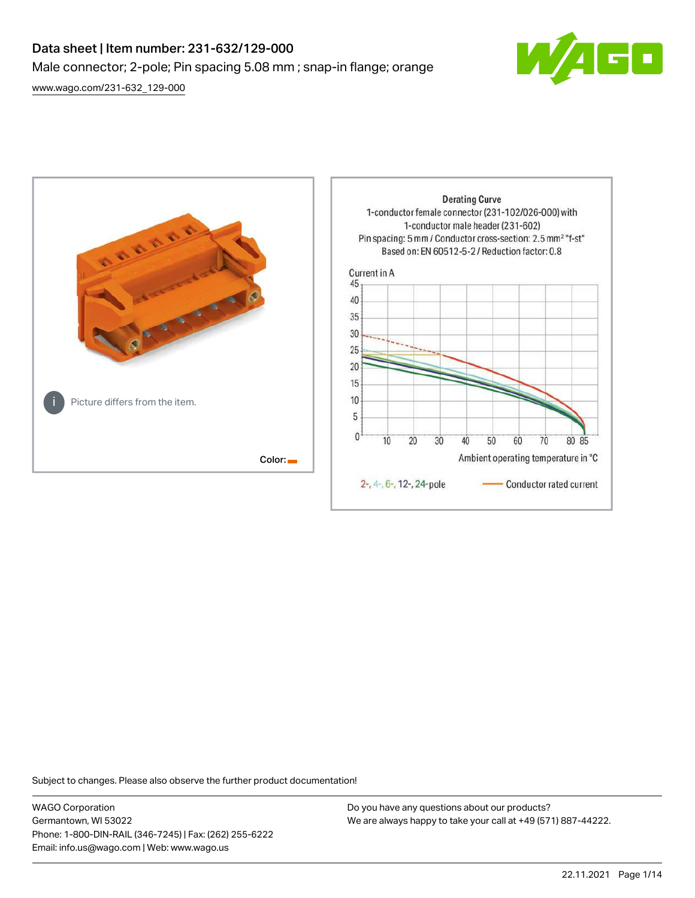# Data sheet | Item number: 231-632/129-000 Male connector; 2-pole; Pin spacing 5.08 mm ; snap-in flange; orange [www.wago.com/231-632\\_129-000](http://www.wago.com/231-632_129-000)



80 85

**Derating Curve** 1-conductor female connector (231-102/026-000) with 1-conductor male header (231-602) Pin spacing: 5 mm / Conductor cross-section: 2.5 mm<sup>2</sup> "f-st" Based on: EN 60512-5-2 / Reduction factor: 0.8 Current in A 45 40 35 30 25 20 15 10 Picture differs from the item. 5  $\mathbf{0}$  $10$ 20 30 40 50 60 70 Color: Ambient operating temperature in °C 2-, 4-, 6-, 12-, 24-pole Conductor rated current

Subject to changes. Please also observe the further product documentation!

WAGO Corporation Germantown, WI 53022 Phone: 1-800-DIN-RAIL (346-7245) | Fax: (262) 255-6222 Email: info.us@wago.com | Web: www.wago.us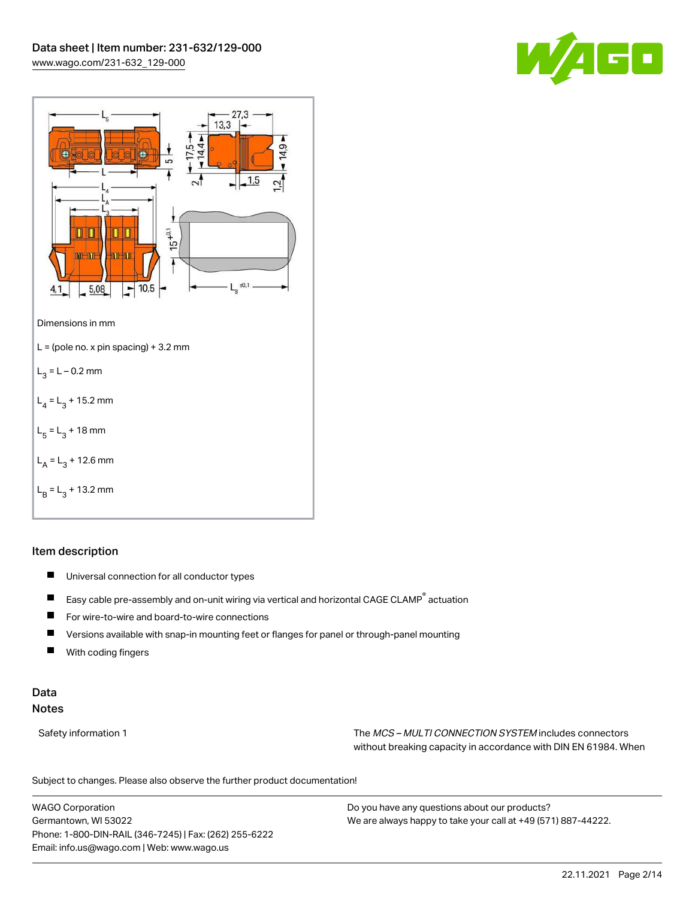



## Item description

- $\blacksquare$ Universal connection for all conductor types
- $\blacksquare$ Easy cable pre-assembly and on-unit wiring via vertical and horizontal CAGE CLAMP® actuation
- $\blacksquare$ For wire-to-wire and board-to-wire connections
- $\blacksquare$ Versions available with snap-in mounting feet or flanges for panel or through-panel mounting
- П With coding fingers

## Data Notes

Safety information 1 The MCS – MULTI CONNECTION SYSTEM includes connectors without breaking capacity in accordance with DIN EN 61984. When

Subject to changes. Please also observe the further product documentation!  $\mathbf{u}$ 

WAGO Corporation Germantown, WI 53022 Phone: 1-800-DIN-RAIL (346-7245) | Fax: (262) 255-6222 Email: info.us@wago.com | Web: www.wago.us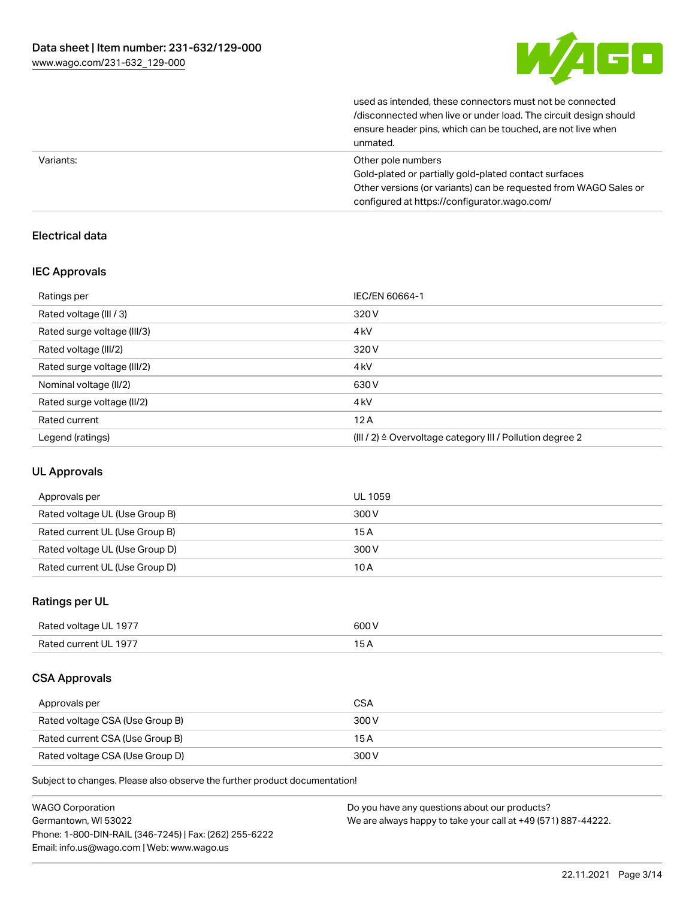

| unmated.                                                         |
|------------------------------------------------------------------|
| ensure header pins, which can be touched, are not live when      |
| /disconnected when live or under load. The circuit design should |
| used as intended, these connectors must not be connected         |

| Variants: | Other pole numbers                                               |
|-----------|------------------------------------------------------------------|
|           | Gold-plated or partially gold-plated contact surfaces            |
|           | Other versions (or variants) can be requested from WAGO Sales or |
|           | configured at https://configurator.wago.com/                     |

## Electrical data

## IEC Approvals

| Ratings per                 | IEC/EN 60664-1                                                       |
|-----------------------------|----------------------------------------------------------------------|
| Rated voltage (III / 3)     | 320 V                                                                |
| Rated surge voltage (III/3) | 4 <sub>kV</sub>                                                      |
| Rated voltage (III/2)       | 320 V                                                                |
| Rated surge voltage (III/2) | 4 <sub>kV</sub>                                                      |
| Nominal voltage (II/2)      | 630 V                                                                |
| Rated surge voltage (II/2)  | 4 <sub>k</sub> V                                                     |
| Rated current               | 12A                                                                  |
| Legend (ratings)            | (III / 2) $\triangleq$ Overvoltage category III / Pollution degree 2 |

## UL Approvals

| Approvals per                  | UL 1059 |
|--------------------------------|---------|
| Rated voltage UL (Use Group B) | 300 V   |
| Rated current UL (Use Group B) | 15 A    |
| Rated voltage UL (Use Group D) | 300 V   |
| Rated current UL (Use Group D) | 10 A    |

## Ratings per UL

| Rated voltage UL 1977 | 600 V |
|-----------------------|-------|
| Rated current UL 1977 |       |

## CSA Approvals

| Approvals per                   | <b>CSA</b> |
|---------------------------------|------------|
| Rated voltage CSA (Use Group B) | 300 V      |
| Rated current CSA (Use Group B) | 15 A       |
| Rated voltage CSA (Use Group D) | 300 V      |

Subject to changes. Please also observe the further product documentation!

| <b>WAGO Corporation</b>                                | Do you have any questions about our products?                 |
|--------------------------------------------------------|---------------------------------------------------------------|
| Germantown, WI 53022                                   | We are always happy to take your call at +49 (571) 887-44222. |
| Phone: 1-800-DIN-RAIL (346-7245)   Fax: (262) 255-6222 |                                                               |
| Email: info.us@wago.com   Web: www.wago.us             |                                                               |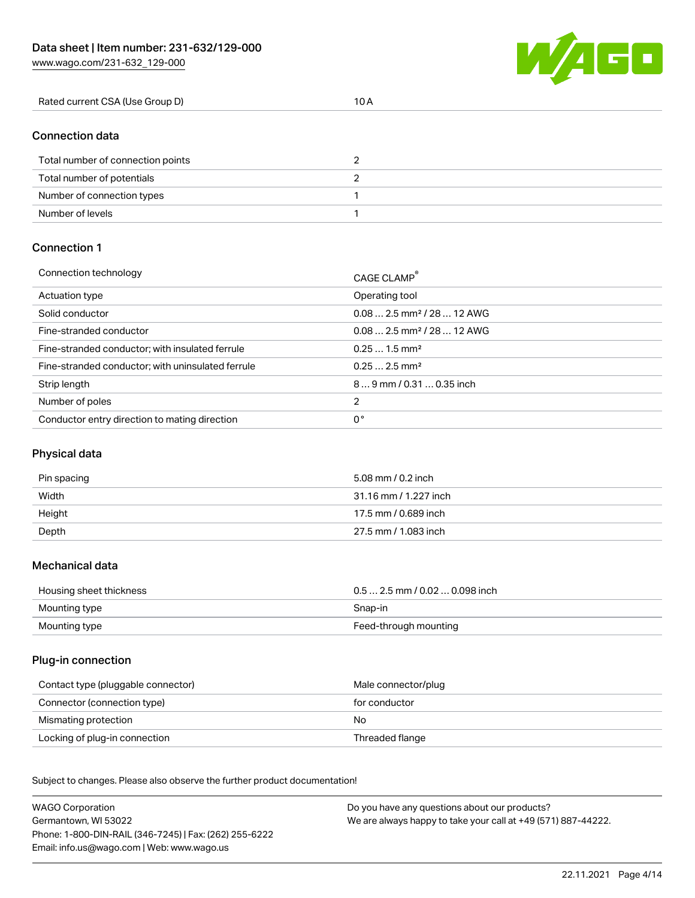W/1EE

| Rated current CSA (Use Group D) | 10 A |
|---------------------------------|------|

## Connection data

| Total number of connection points |  |
|-----------------------------------|--|
| Total number of potentials        |  |
| Number of connection types        |  |
| Number of levels                  |  |

## Connection 1

| Connection technology                             | CAGE CLAMP <sup>®</sup>                 |
|---------------------------------------------------|-----------------------------------------|
| Actuation type                                    | Operating tool                          |
| Solid conductor                                   | $0.082.5$ mm <sup>2</sup> / 28  12 AWG  |
| Fine-stranded conductor                           | $0.08$ 2.5 mm <sup>2</sup> / 28  12 AWG |
| Fine-stranded conductor; with insulated ferrule   | $0.251.5$ mm <sup>2</sup>               |
| Fine-stranded conductor; with uninsulated ferrule | $0.252.5$ mm <sup>2</sup>               |
| Strip length                                      | $89$ mm / 0.31  0.35 inch               |
| Number of poles                                   | 2                                       |
| Conductor entry direction to mating direction     | 0°                                      |

## Physical data

| Pin spacing | 5.08 mm / 0.2 inch    |
|-------------|-----------------------|
| Width       | 31.16 mm / 1.227 inch |
| Height      | 17.5 mm / 0.689 inch  |
| Depth       | 27.5 mm / 1.083 inch  |

#### Mechanical data

| Housing sheet thickness | $0.5$ 2.5 mm / 0.02  0.098 inch |
|-------------------------|---------------------------------|
| Mounting type           | Snap-in                         |
| Mounting type           | Feed-through mounting           |

#### Plug-in connection

| Contact type (pluggable connector) | Male connector/plug |
|------------------------------------|---------------------|
| Connector (connection type)        | for conductor       |
| Mismating protection               | No                  |
| Locking of plug-in connection      | Threaded flange     |

Subject to changes. Please also observe the further product documentation! Material data

| <b>WAGO Corporation</b>                                | Do you have any questions about our products?                 |
|--------------------------------------------------------|---------------------------------------------------------------|
| Germantown, WI 53022                                   | We are always happy to take your call at +49 (571) 887-44222. |
| Phone: 1-800-DIN-RAIL (346-7245)   Fax: (262) 255-6222 |                                                               |
| Email: info.us@wago.com   Web: www.wago.us             |                                                               |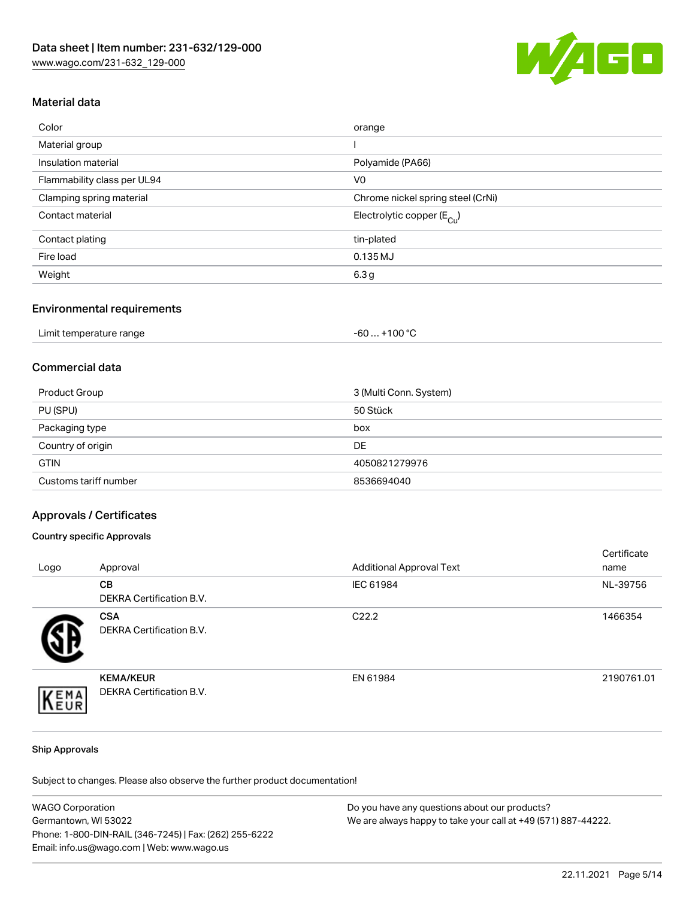

## Material data

| Color                       | orange                                 |
|-----------------------------|----------------------------------------|
| Material group              |                                        |
| Insulation material         | Polyamide (PA66)                       |
| Flammability class per UL94 | V <sub>0</sub>                         |
| Clamping spring material    | Chrome nickel spring steel (CrNi)      |
| Contact material            | Electrolytic copper (E <sub>Cu</sub> ) |
| Contact plating             | tin-plated                             |
| Fire load                   | 0.135 MJ                               |
| Weight                      | 6.3 <sub>g</sub>                       |

#### Environmental requirements

| Limit temperature range | .+100 $^{\circ}$ C<br>-60 |
|-------------------------|---------------------------|
|-------------------------|---------------------------|

## Commercial data

| Product Group         | 3 (Multi Conn. System) |
|-----------------------|------------------------|
| PU (SPU)              | 50 Stück               |
| Packaging type        | box                    |
| Country of origin     | DE                     |
| <b>GTIN</b>           | 4050821279976          |
| Customs tariff number | 8536694040             |

## Approvals / Certificates

### Country specific Approvals

| Logo | Approval                                      | <b>Additional Approval Text</b> | Certificate<br>name |
|------|-----------------------------------------------|---------------------------------|---------------------|
|      | <b>CB</b><br>DEKRA Certification B.V.         | IEC 61984                       | NL-39756            |
|      | <b>CSA</b><br><b>DEKRA Certification B.V.</b> | C <sub>22.2</sub>               | 1466354             |
| EMA  | <b>KEMA/KEUR</b><br>DEKRA Certification B.V.  | EN 61984                        | 2190761.01          |

#### Ship Approvals

Subject to changes. Please also observe the further product documentation!

| <b>WAGO Corporation</b>                                | Do you have any questions about our products?                 |
|--------------------------------------------------------|---------------------------------------------------------------|
| Germantown, WI 53022                                   | We are always happy to take your call at +49 (571) 887-44222. |
| Phone: 1-800-DIN-RAIL (346-7245)   Fax: (262) 255-6222 |                                                               |
| Email: info.us@wago.com   Web: www.wago.us             |                                                               |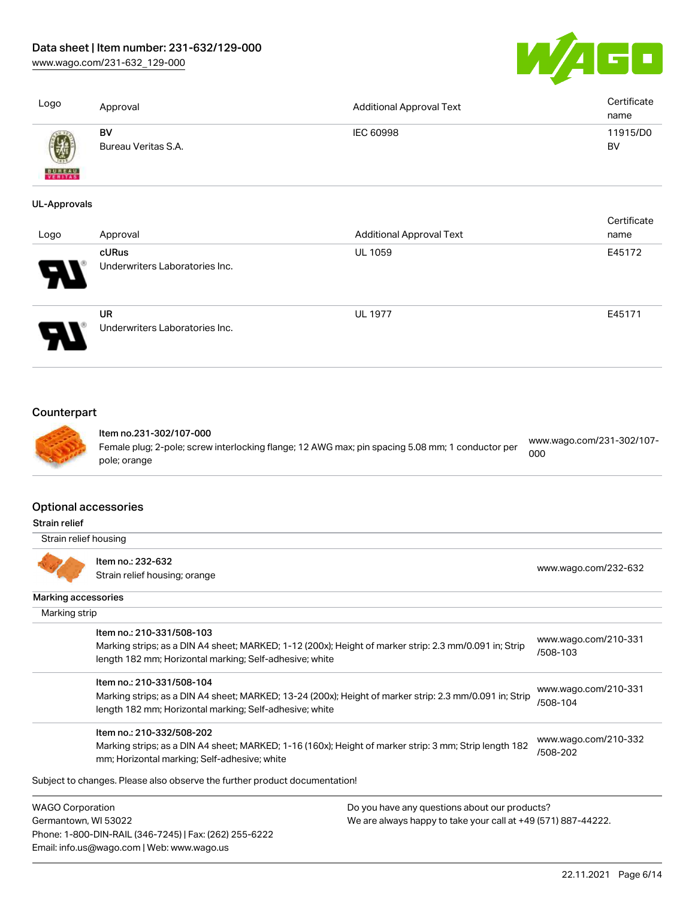[www.wago.com/231-632\\_129-000](http://www.wago.com/231-632_129-000)



| Logo                                         | Approval                                                                                                                                                                                        | <b>Additional Approval Text</b>               | Certificate<br>name              |
|----------------------------------------------|-------------------------------------------------------------------------------------------------------------------------------------------------------------------------------------------------|-----------------------------------------------|----------------------------------|
|                                              | <b>BV</b><br>Bureau Veritas S.A.                                                                                                                                                                | IEC 60998                                     | 11915/D0<br><b>BV</b>            |
|                                              |                                                                                                                                                                                                 |                                               |                                  |
| <b>UL-Approvals</b>                          |                                                                                                                                                                                                 |                                               | Certificate                      |
| Logo                                         | Approval                                                                                                                                                                                        | <b>Additional Approval Text</b>               | name                             |
|                                              | cURus<br>Underwriters Laboratories Inc.                                                                                                                                                         | <b>UL 1059</b>                                | E45172                           |
|                                              | <b>UR</b><br>Underwriters Laboratories Inc.                                                                                                                                                     | <b>UL 1977</b>                                | E45171                           |
| Counterpart                                  | Item no.231-302/107-000<br>Female plug; 2-pole; screw interlocking flange; 12 AWG max; pin spacing 5.08 mm; 1 conductor per<br>pole; orange                                                     |                                               | www.wago.com/231-302/107-<br>000 |
| <b>Optional accessories</b><br>Strain relief |                                                                                                                                                                                                 |                                               |                                  |
| Strain relief housing                        |                                                                                                                                                                                                 |                                               |                                  |
|                                              | Item no.: 232-632<br>Strain relief housing; orange                                                                                                                                              |                                               | www.wago.com/232-632             |
| <b>Marking accessories</b>                   |                                                                                                                                                                                                 |                                               |                                  |
| Marking strip                                |                                                                                                                                                                                                 |                                               |                                  |
|                                              | Item no.: 210-331/508-103<br>Marking strips; as a DIN A4 sheet; MARKED; 1-12 (200x); Height of marker strip: 2.3 mm/0.091 in; Strip<br>length 182 mm; Horizontal marking; Self-adhesive; white  |                                               | www.wago.com/210-331<br>/508-103 |
|                                              | Item no.: 210-331/508-104<br>Marking strips; as a DIN A4 sheet; MARKED; 13-24 (200x); Height of marker strip: 2.3 mm/0.091 in; Strip<br>length 182 mm; Horizontal marking; Self-adhesive; white |                                               | www.wago.com/210-331<br>/508-104 |
|                                              | Item no.: 210-332/508-202<br>Marking strips; as a DIN A4 sheet; MARKED; 1-16 (160x); Height of marker strip: 3 mm; Strip length 182<br>mm; Horizontal marking; Self-adhesive; white             |                                               | www.wago.com/210-332<br>/508-202 |
|                                              | Subject to changes. Please also observe the further product documentation!                                                                                                                      |                                               |                                  |
| <b>WAGO Corporation</b>                      |                                                                                                                                                                                                 | Do you have any questions about our products? |                                  |

Germantown, WI 53022 Phone: 1-800-DIN-RAIL (346-7245) | Fax: (262) 255-6222 Email: info.us@wago.com | Web: www.wago.us

We are always happy to take your call at +49 (571) 887-44222.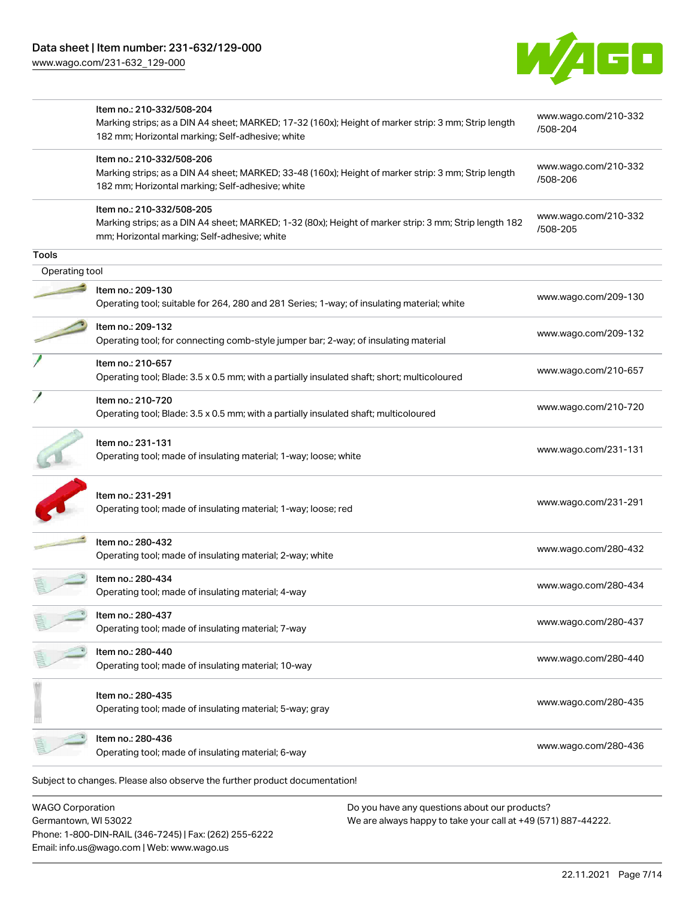[www.wago.com/231-632\\_129-000](http://www.wago.com/231-632_129-000)



|                | Item no.: 210-332/508-204<br>Marking strips; as a DIN A4 sheet; MARKED; 17-32 (160x); Height of marker strip: 3 mm; Strip length<br>182 mm; Horizontal marking; Self-adhesive; white | www.wago.com/210-332<br>/508-204 |
|----------------|--------------------------------------------------------------------------------------------------------------------------------------------------------------------------------------|----------------------------------|
|                | Item no.: 210-332/508-206<br>Marking strips; as a DIN A4 sheet; MARKED; 33-48 (160x); Height of marker strip: 3 mm; Strip length<br>182 mm; Horizontal marking; Self-adhesive; white | www.wago.com/210-332<br>/508-206 |
|                | Item no.: 210-332/508-205<br>Marking strips; as a DIN A4 sheet; MARKED; 1-32 (80x); Height of marker strip: 3 mm; Strip length 182<br>mm; Horizontal marking; Self-adhesive; white   | www.wago.com/210-332<br>/508-205 |
| <b>Tools</b>   |                                                                                                                                                                                      |                                  |
| Operating tool |                                                                                                                                                                                      |                                  |
|                | Item no.: 209-130<br>Operating tool; suitable for 264, 280 and 281 Series; 1-way; of insulating material; white                                                                      | www.wago.com/209-130             |
|                | Item no.: 209-132<br>Operating tool; for connecting comb-style jumper bar; 2-way; of insulating material                                                                             | www.wago.com/209-132             |
|                | Item no.: 210-657<br>Operating tool; Blade: 3.5 x 0.5 mm; with a partially insulated shaft; short; multicoloured                                                                     | www.wago.com/210-657             |
|                | Item no.: 210-720<br>Operating tool; Blade: 3.5 x 0.5 mm; with a partially insulated shaft; multicoloured                                                                            | www.wago.com/210-720             |
|                | Item no.: 231-131<br>Operating tool; made of insulating material; 1-way; loose; white                                                                                                | www.wago.com/231-131             |
|                | Item no.: 231-291<br>Operating tool; made of insulating material; 1-way; loose; red                                                                                                  | www.wago.com/231-291             |
|                | Item no.: 280-432<br>Operating tool; made of insulating material; 2-way; white                                                                                                       | www.wago.com/280-432             |
|                | Item no.: 280-434<br>Operating tool; made of insulating material; 4-way                                                                                                              | www.wago.com/280-434             |
|                | Item no.: 280-437<br>Operating tool; made of insulating material; 7-way                                                                                                              | www.wago.com/280-437             |
|                | Item no.: 280-440<br>Operating tool; made of insulating material; 10-way                                                                                                             | www.wago.com/280-440             |
|                | Item no.: 280-435<br>Operating tool; made of insulating material; 5-way; gray                                                                                                        | www.wago.com/280-435             |
|                | Item no.: 280-436<br>Operating tool; made of insulating material; 6-way                                                                                                              | www.wago.com/280-436             |

WAGO Corporation Germantown, WI 53022 Phone: 1-800-DIN-RAIL (346-7245) | Fax: (262) 255-6222 Email: info.us@wago.com | Web: www.wago.us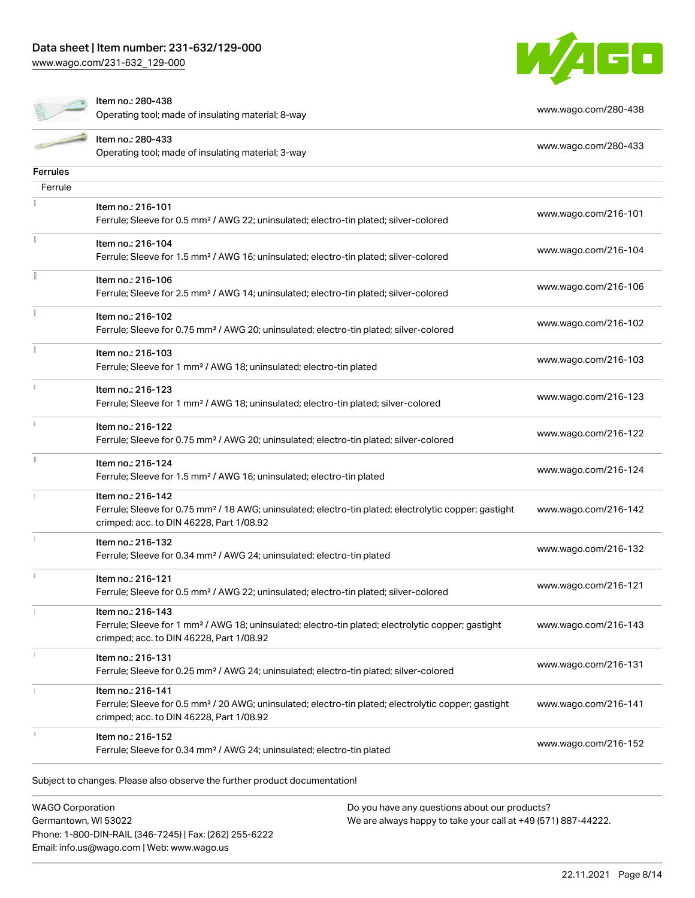[www.wago.com/231-632\\_129-000](http://www.wago.com/231-632_129-000)





Item no.: 280-438

Operating tool; made of insulating material; 8-way [www.wago.com/280-438](http://www.wago.com/280-438)

|                 | Item no.: 280-433                                                                                                       | www.wago.com/280-433 |
|-----------------|-------------------------------------------------------------------------------------------------------------------------|----------------------|
|                 | Operating tool; made of insulating material; 3-way                                                                      |                      |
| <b>Ferrules</b> |                                                                                                                         |                      |
| Ferrule         |                                                                                                                         |                      |
|                 | Item no.: 216-101                                                                                                       | www.wago.com/216-101 |
|                 | Ferrule; Sleeve for 0.5 mm <sup>2</sup> / AWG 22; uninsulated; electro-tin plated; silver-colored                       |                      |
| Ĭ.              | Item no.: 216-104                                                                                                       |                      |
|                 | Ferrule; Sleeve for 1.5 mm <sup>2</sup> / AWG 16; uninsulated; electro-tin plated; silver-colored                       | www.wago.com/216-104 |
| I               | Item no.: 216-106                                                                                                       | www.wago.com/216-106 |
|                 | Ferrule; Sleeve for 2.5 mm <sup>2</sup> / AWG 14; uninsulated; electro-tin plated; silver-colored                       |                      |
|                 | Item no.: 216-102                                                                                                       |                      |
|                 | Ferrule; Sleeve for 0.75 mm <sup>2</sup> / AWG 20; uninsulated; electro-tin plated; silver-colored                      | www.wago.com/216-102 |
| Ĭ.              | Item no.: 216-103                                                                                                       |                      |
|                 | Ferrule; Sleeve for 1 mm <sup>2</sup> / AWG 18; uninsulated; electro-tin plated                                         | www.wago.com/216-103 |
| i.              | Item no.: 216-123                                                                                                       |                      |
|                 | Ferrule; Sleeve for 1 mm <sup>2</sup> / AWG 18; uninsulated; electro-tin plated; silver-colored                         | www.wago.com/216-123 |
| î.              | Item no.: 216-122                                                                                                       |                      |
|                 | Ferrule; Sleeve for 0.75 mm <sup>2</sup> / AWG 20; uninsulated; electro-tin plated; silver-colored                      | www.wago.com/216-122 |
| Ĭ.              | Item no.: 216-124                                                                                                       |                      |
|                 | Ferrule; Sleeve for 1.5 mm <sup>2</sup> / AWG 16; uninsulated; electro-tin plated                                       | www.wago.com/216-124 |
|                 | Item no.: 216-142                                                                                                       |                      |
|                 | Ferrule; Sleeve for 0.75 mm <sup>2</sup> / 18 AWG; uninsulated; electro-tin plated; electrolytic copper; gastight       | www.wago.com/216-142 |
|                 | crimped; acc. to DIN 46228, Part 1/08.92                                                                                |                      |
|                 | Item no.: 216-132<br>Ferrule; Sleeve for 0.34 mm <sup>2</sup> / AWG 24; uninsulated; electro-tin plated                 | www.wago.com/216-132 |
|                 |                                                                                                                         |                      |
| ī.              | Item no.: 216-121<br>Ferrule; Sleeve for 0.5 mm <sup>2</sup> / AWG 22; uninsulated; electro-tin plated; silver-colored  | www.wago.com/216-121 |
|                 |                                                                                                                         |                      |
|                 | Item no.: 216-143<br>Ferrule; Sleeve for 1 mm² / AWG 18; uninsulated; electro-tin plated; electrolytic copper; gastight | www.wago.com/216-143 |
|                 | crimped; acc. to DIN 46228, Part 1/08.92                                                                                |                      |
|                 | Item no.: 216-131                                                                                                       |                      |
|                 | Ferrule; Sleeve for 0.25 mm <sup>2</sup> / AWG 24; uninsulated; electro-tin plated; silver-colored                      | www.wago.com/216-131 |
|                 | Item no.: 216-141                                                                                                       |                      |
|                 | Ferrule; Sleeve for 0.5 mm <sup>2</sup> / 20 AWG; uninsulated; electro-tin plated; electrolytic copper; gastight        | www.wago.com/216-141 |
|                 | crimped; acc. to DIN 46228, Part 1/08.92                                                                                |                      |
|                 | Item no.: 216-152                                                                                                       | www.wago.com/216-152 |
|                 | Ferrule; Sleeve for 0.34 mm <sup>2</sup> / AWG 24; uninsulated; electro-tin plated                                      |                      |

Subject to changes. Please also observe the further product documentation!

WAGO Corporation Germantown, WI 53022 Phone: 1-800-DIN-RAIL (346-7245) | Fax: (262) 255-6222 Email: info.us@wago.com | Web: www.wago.us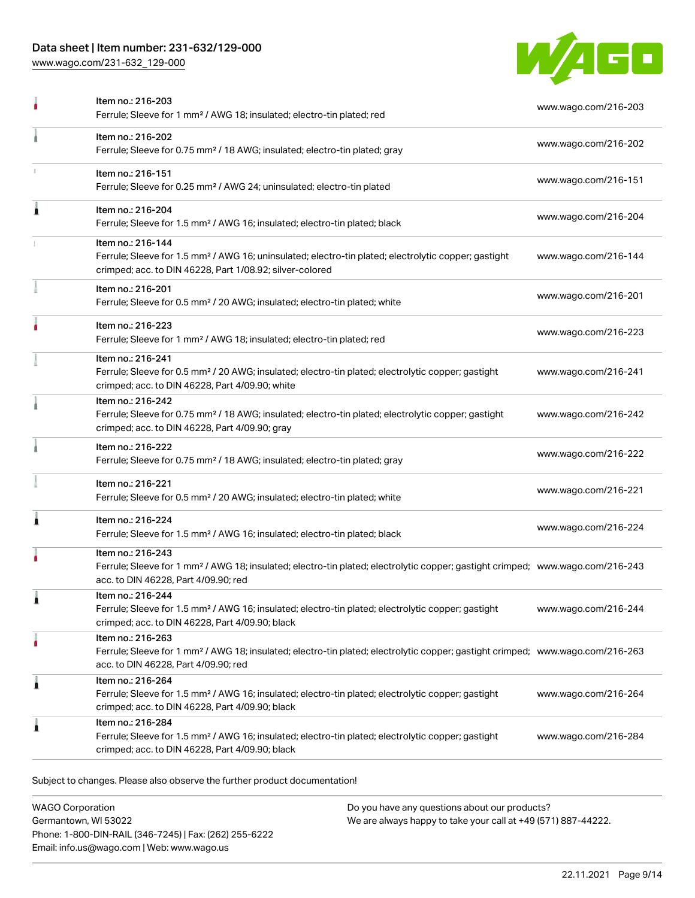## Data sheet | Item number: 231-632/129-000

[www.wago.com/231-632\\_129-000](http://www.wago.com/231-632_129-000)



|   | Item no.: 216-203<br>Ferrule; Sleeve for 1 mm <sup>2</sup> / AWG 18; insulated; electro-tin plated; red                                                                                                 | www.wago.com/216-203 |
|---|---------------------------------------------------------------------------------------------------------------------------------------------------------------------------------------------------------|----------------------|
|   | Item no.: 216-202<br>Ferrule; Sleeve for 0.75 mm <sup>2</sup> / 18 AWG; insulated; electro-tin plated; gray                                                                                             | www.wago.com/216-202 |
|   | Item no.: 216-151<br>Ferrule; Sleeve for 0.25 mm <sup>2</sup> / AWG 24; uninsulated; electro-tin plated                                                                                                 | www.wago.com/216-151 |
| Â | Item no.: 216-204<br>Ferrule; Sleeve for 1.5 mm <sup>2</sup> / AWG 16; insulated; electro-tin plated; black                                                                                             | www.wago.com/216-204 |
|   | Item no.: 216-144<br>Ferrule; Sleeve for 1.5 mm <sup>2</sup> / AWG 16; uninsulated; electro-tin plated; electrolytic copper; gastight<br>crimped; acc. to DIN 46228, Part 1/08.92; silver-colored       | www.wago.com/216-144 |
|   | Item no.: 216-201<br>Ferrule; Sleeve for 0.5 mm <sup>2</sup> / 20 AWG; insulated; electro-tin plated; white                                                                                             | www.wago.com/216-201 |
|   | Item no.: 216-223<br>Ferrule; Sleeve for 1 mm <sup>2</sup> / AWG 18; insulated; electro-tin plated; red                                                                                                 | www.wago.com/216-223 |
|   | Item no.: 216-241<br>Ferrule; Sleeve for 0.5 mm <sup>2</sup> / 20 AWG; insulated; electro-tin plated; electrolytic copper; gastight<br>crimped; acc. to DIN 46228, Part 4/09.90; white                  | www.wago.com/216-241 |
|   | Item no.: 216-242<br>Ferrule; Sleeve for 0.75 mm <sup>2</sup> / 18 AWG; insulated; electro-tin plated; electrolytic copper; gastight<br>crimped; acc. to DIN 46228, Part 4/09.90; gray                  | www.wago.com/216-242 |
|   | Item no.: 216-222<br>Ferrule; Sleeve for 0.75 mm <sup>2</sup> / 18 AWG; insulated; electro-tin plated; gray                                                                                             | www.wago.com/216-222 |
|   | Item no.: 216-221<br>Ferrule; Sleeve for 0.5 mm <sup>2</sup> / 20 AWG; insulated; electro-tin plated; white                                                                                             | www.wago.com/216-221 |
| 1 | Item no.: 216-224<br>Ferrule; Sleeve for 1.5 mm <sup>2</sup> / AWG 16; insulated; electro-tin plated; black                                                                                             | www.wago.com/216-224 |
|   | Item no.: 216-243<br>Ferrule; Sleeve for 1 mm <sup>2</sup> / AWG 18; insulated; electro-tin plated; electrolytic copper; gastight crimped; www.wago.com/216-243<br>acc. to DIN 46228, Part 4/09.90; red |                      |
|   | Item no.: 216-244<br>Ferrule; Sleeve for 1.5 mm <sup>2</sup> / AWG 16; insulated; electro-tin plated; electrolytic copper; gastight<br>crimped; acc. to DIN 46228, Part 4/09.90; black                  | www.wago.com/216-244 |
|   | Item no.: 216-263<br>Ferrule; Sleeve for 1 mm <sup>2</sup> / AWG 18; insulated; electro-tin plated; electrolytic copper; gastight crimped; www.wago.com/216-263<br>acc. to DIN 46228, Part 4/09.90; red |                      |
| 1 | Item no.: 216-264<br>Ferrule; Sleeve for 1.5 mm <sup>2</sup> / AWG 16; insulated; electro-tin plated; electrolytic copper; gastight<br>crimped; acc. to DIN 46228, Part 4/09.90; black                  | www.wago.com/216-264 |
| 1 | Item no.: 216-284<br>Ferrule; Sleeve for 1.5 mm <sup>2</sup> / AWG 16; insulated; electro-tin plated; electrolytic copper; gastight<br>crimped; acc. to DIN 46228, Part 4/09.90; black                  | www.wago.com/216-284 |

Subject to changes. Please also observe the further product documentation!

WAGO Corporation Germantown, WI 53022 Phone: 1-800-DIN-RAIL (346-7245) | Fax: (262) 255-6222 Email: info.us@wago.com | Web: www.wago.us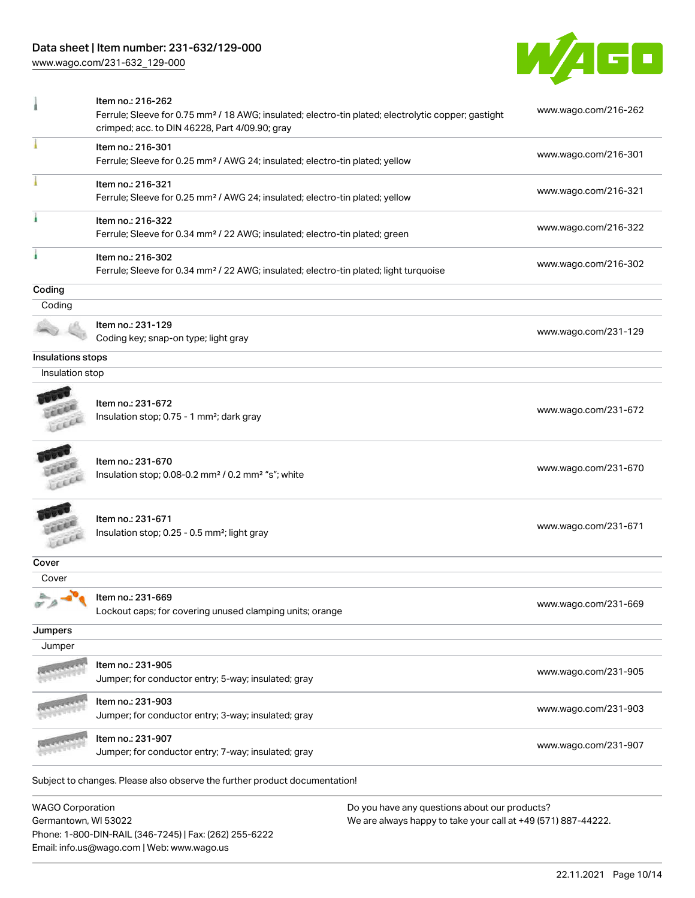## Data sheet | Item number: 231-632/129-000

Email: info.us@wago.com | Web: www.wago.us

[www.wago.com/231-632\\_129-000](http://www.wago.com/231-632_129-000)



|                                                    | Item no.: 216-262<br>Ferrule; Sleeve for 0.75 mm <sup>2</sup> / 18 AWG; insulated; electro-tin plated; electrolytic copper; gastight<br>crimped; acc. to DIN 46228, Part 4/09.90; gray |                                                                                                                | www.wago.com/216-262 |
|----------------------------------------------------|----------------------------------------------------------------------------------------------------------------------------------------------------------------------------------------|----------------------------------------------------------------------------------------------------------------|----------------------|
|                                                    | Item no.: 216-301<br>Ferrule; Sleeve for 0.25 mm <sup>2</sup> / AWG 24; insulated; electro-tin plated; yellow                                                                          |                                                                                                                | www.wago.com/216-301 |
|                                                    | Item no.: 216-321<br>Ferrule; Sleeve for 0.25 mm <sup>2</sup> / AWG 24; insulated; electro-tin plated; yellow                                                                          |                                                                                                                | www.wago.com/216-321 |
|                                                    | Item no.: 216-322<br>Ferrule; Sleeve for 0.34 mm <sup>2</sup> / 22 AWG; insulated; electro-tin plated; green                                                                           |                                                                                                                | www.wago.com/216-322 |
|                                                    | Item no.: 216-302<br>Ferrule; Sleeve for 0.34 mm <sup>2</sup> / 22 AWG; insulated; electro-tin plated; light turquoise                                                                 |                                                                                                                | www.wago.com/216-302 |
| Coding                                             |                                                                                                                                                                                        |                                                                                                                |                      |
| Coding                                             |                                                                                                                                                                                        |                                                                                                                |                      |
|                                                    | Item no.: 231-129<br>Coding key; snap-on type; light gray                                                                                                                              |                                                                                                                | www.wago.com/231-129 |
| Insulations stops                                  |                                                                                                                                                                                        |                                                                                                                |                      |
| Insulation stop                                    |                                                                                                                                                                                        |                                                                                                                |                      |
| cu                                                 | Item no.: 231-672<br>Insulation stop; 0.75 - 1 mm <sup>2</sup> ; dark gray                                                                                                             |                                                                                                                | www.wago.com/231-672 |
|                                                    | Item no.: 231-670<br>Insulation stop; 0.08-0.2 mm <sup>2</sup> / 0.2 mm <sup>2</sup> "s"; white                                                                                        |                                                                                                                | www.wago.com/231-670 |
| LEEL                                               | Item no.: 231-671<br>Insulation stop; 0.25 - 0.5 mm <sup>2</sup> ; light gray                                                                                                          |                                                                                                                | www.wago.com/231-671 |
| Cover                                              |                                                                                                                                                                                        |                                                                                                                |                      |
| Cover                                              |                                                                                                                                                                                        |                                                                                                                |                      |
| $\label{eq:1} \begin{array}{c} \Delta \end{array}$ | $\bullet$ Item no.: 231-669<br>Lockout caps; for covering unused clamping units; orange                                                                                                |                                                                                                                | www.wago.com/231-669 |
| Jumpers                                            |                                                                                                                                                                                        |                                                                                                                |                      |
| Jumper                                             |                                                                                                                                                                                        |                                                                                                                |                      |
|                                                    | Item no.: 231-905<br>Jumper; for conductor entry; 5-way; insulated; gray                                                                                                               |                                                                                                                | www.wago.com/231-905 |
|                                                    | Item no.: 231-903<br>Jumper; for conductor entry; 3-way; insulated; gray                                                                                                               |                                                                                                                | www.wago.com/231-903 |
|                                                    | Item no.: 231-907<br>Jumper; for conductor entry; 7-way; insulated; gray                                                                                                               |                                                                                                                | www.wago.com/231-907 |
|                                                    | Subject to changes. Please also observe the further product documentation!                                                                                                             |                                                                                                                |                      |
| <b>WAGO Corporation</b><br>Germantown, WI 53022    | Phone: 1-800-DIN-RAIL (346-7245)   Fax: (262) 255-6222                                                                                                                                 | Do you have any questions about our products?<br>We are always happy to take your call at +49 (571) 887-44222. |                      |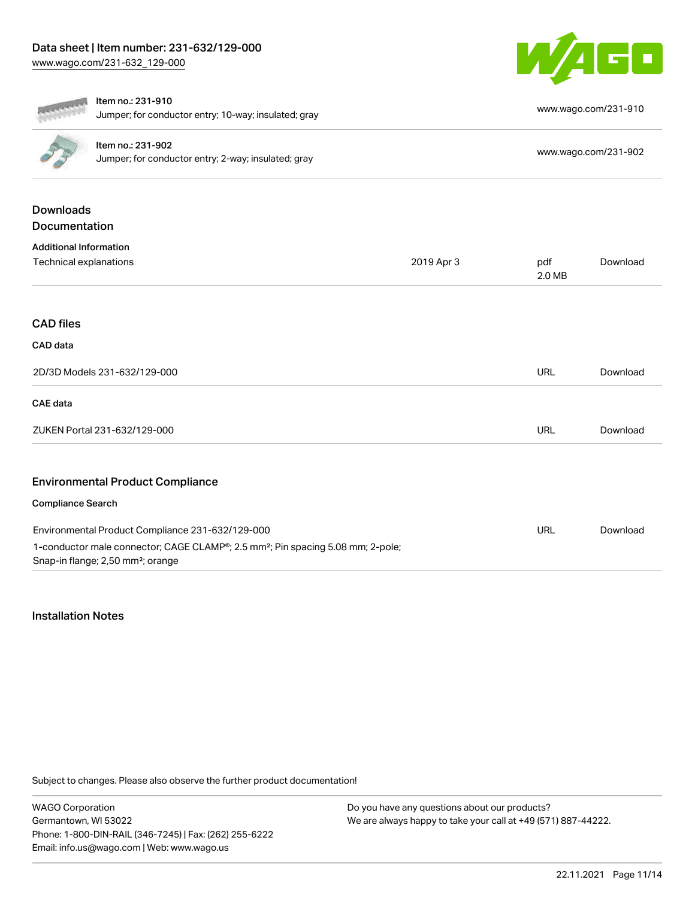

|                                                         | Item no.: 231-910<br>Jumper; for conductor entry; 10-way; insulated; gray                                                                    |            |               | www.wago.com/231-910 |  |  |
|---------------------------------------------------------|----------------------------------------------------------------------------------------------------------------------------------------------|------------|---------------|----------------------|--|--|
|                                                         | Item no.: 231-902<br>Jumper; for conductor entry; 2-way; insulated; gray                                                                     |            |               |                      |  |  |
| <b>Downloads</b>                                        |                                                                                                                                              |            |               |                      |  |  |
| Documentation                                           |                                                                                                                                              |            |               |                      |  |  |
| <b>Additional Information</b><br>Technical explanations |                                                                                                                                              | 2019 Apr 3 | pdf<br>2.0 MB | Download             |  |  |
| <b>CAD files</b>                                        |                                                                                                                                              |            |               |                      |  |  |
| CAD data                                                |                                                                                                                                              |            |               |                      |  |  |
| 2D/3D Models 231-632/129-000                            |                                                                                                                                              |            | <b>URL</b>    | Download             |  |  |
| <b>CAE</b> data                                         |                                                                                                                                              |            |               |                      |  |  |
| ZUKEN Portal 231-632/129-000                            |                                                                                                                                              |            | <b>URL</b>    | Download             |  |  |
|                                                         | <b>Environmental Product Compliance</b>                                                                                                      |            |               |                      |  |  |
| <b>Compliance Search</b>                                |                                                                                                                                              |            |               |                      |  |  |
|                                                         | Environmental Product Compliance 231-632/129-000                                                                                             |            | URL           | Download             |  |  |
|                                                         | 1-conductor male connector; CAGE CLAMP®; 2.5 mm <sup>2</sup> ; Pin spacing 5.08 mm; 2-pole;<br>Snap-in flange; 2,50 mm <sup>2</sup> ; orange |            |               |                      |  |  |

#### Installation Notes

Subject to changes. Please also observe the further product documentation!

WAGO Corporation Germantown, WI 53022 Phone: 1-800-DIN-RAIL (346-7245) | Fax: (262) 255-6222 Email: info.us@wago.com | Web: www.wago.us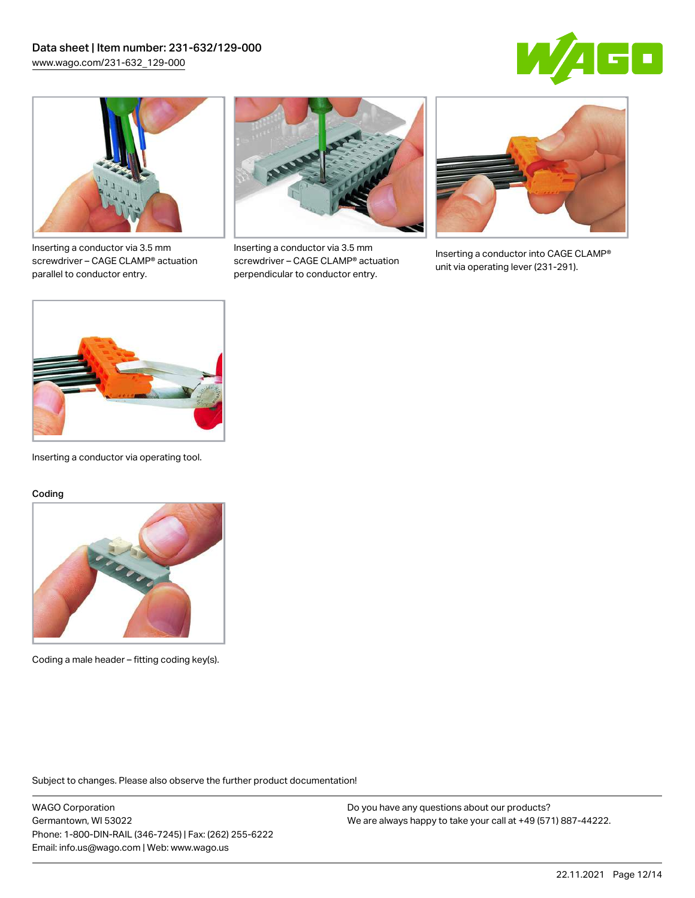



Inserting a conductor via 3.5 mm screwdriver – CAGE CLAMP® actuation parallel to conductor entry.



Inserting a conductor via 3.5 mm screwdriver – CAGE CLAMP® actuation perpendicular to conductor entry.



Inserting a conductor into CAGE CLAMP® unit via operating lever (231-291).



Inserting a conductor via operating tool.

#### Coding



Coding a male header – fitting coding key(s).

Subject to changes. Please also observe the further product documentation!

WAGO Corporation Germantown, WI 53022 Phone: 1-800-DIN-RAIL (346-7245) | Fax: (262) 255-6222 Email: info.us@wago.com | Web: www.wago.us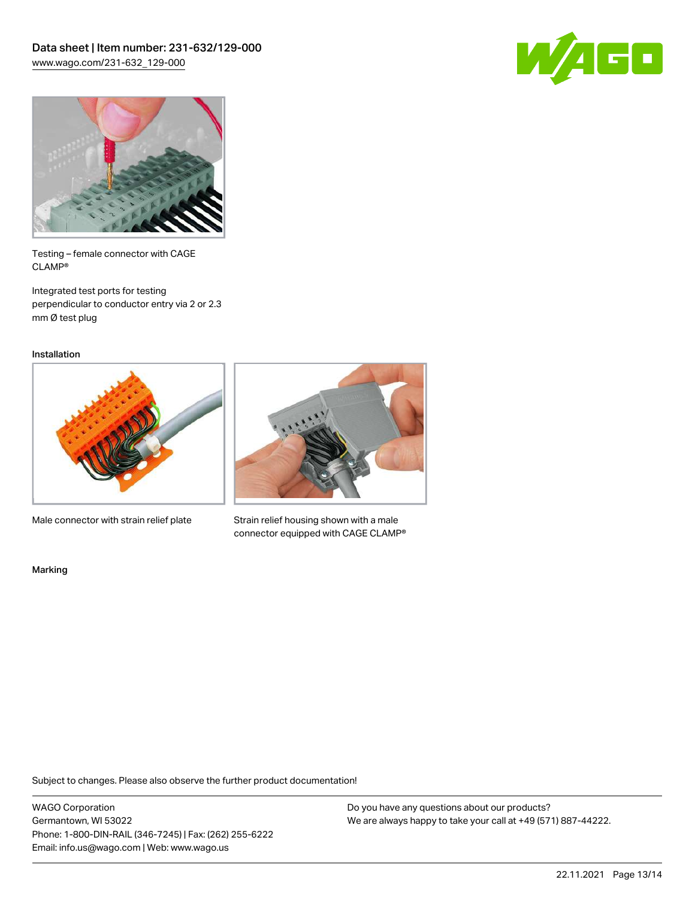



Testing – female connector with CAGE CLAMP®

Integrated test ports for testing perpendicular to conductor entry via 2 or 2.3 mm Ø test plug

Installation



Male connector with strain relief plate



Strain relief housing shown with a male connector equipped with CAGE CLAMP®

Marking

Subject to changes. Please also observe the further product documentation!

WAGO Corporation Germantown, WI 53022 Phone: 1-800-DIN-RAIL (346-7245) | Fax: (262) 255-6222 Email: info.us@wago.com | Web: www.wago.us